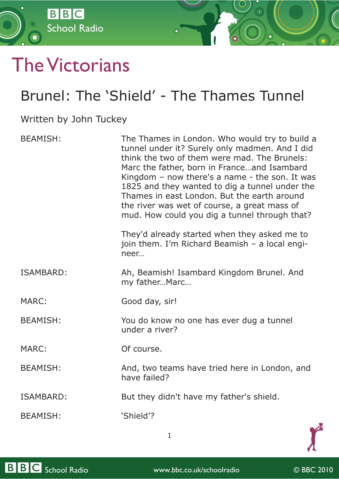

## The Victorians

## Brunel: The 'Shield' - The Thames Tunnel

## Written by John Tuckey

| <b>BEAMISH:</b>  | The Thames in London. Who would try to build a<br>tunnel under it? Surely only madmen. And I did<br>think the two of them were mad. The Brunels:<br>Marc the father, born in Franceand Isambard<br>Kingdom $-$ now there's a name $-$ the son. It was<br>1825 and they wanted to dig a tunnel under the<br>Thames in east London. But the earth around<br>the river was wet of course, a great mass of<br>mud. How could you dig a tunnel through that? |
|------------------|---------------------------------------------------------------------------------------------------------------------------------------------------------------------------------------------------------------------------------------------------------------------------------------------------------------------------------------------------------------------------------------------------------------------------------------------------------|
|                  | They'd already started when they asked me to<br>join them. I'm Richard Beamish - a local engi-<br>neer                                                                                                                                                                                                                                                                                                                                                  |
| <b>ISAMBARD:</b> | Ah, Beamish! Isambard Kingdom Brunel. And<br>my fatherMarc                                                                                                                                                                                                                                                                                                                                                                                              |
| MARC:            | Good day, sir!                                                                                                                                                                                                                                                                                                                                                                                                                                          |
| <b>BEAMISH:</b>  | You do know no one has ever dug a tunnel<br>under a river?                                                                                                                                                                                                                                                                                                                                                                                              |
| <b>MARC:</b>     | Of course.                                                                                                                                                                                                                                                                                                                                                                                                                                              |
| <b>BEAMISH:</b>  | And, two teams have tried here in London, and<br>have failed?                                                                                                                                                                                                                                                                                                                                                                                           |
| ISAMBARD:        | But they didn't have my father's shield.                                                                                                                                                                                                                                                                                                                                                                                                                |
| <b>BEAMISH:</b>  | 'Shield'?                                                                                                                                                                                                                                                                                                                                                                                                                                               |



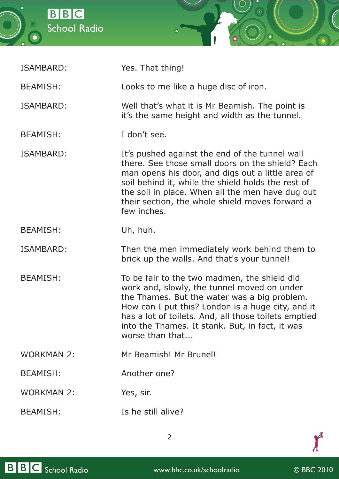



| ISAMBARD:         | Yes. That thing!                                                                                                                                                                                                                                                                                                                    |
|-------------------|-------------------------------------------------------------------------------------------------------------------------------------------------------------------------------------------------------------------------------------------------------------------------------------------------------------------------------------|
| <b>BEAMISH:</b>   | Looks to me like a huge disc of iron.                                                                                                                                                                                                                                                                                               |
| ISAMBARD:         | Well that's what it is Mr Beamish. The point is<br>it's the same height and width as the tunnel.                                                                                                                                                                                                                                    |
| <b>BEAMISH:</b>   | I don't see.                                                                                                                                                                                                                                                                                                                        |
| ISAMBARD:         | It's pushed against the end of the tunnel wall<br>there. See those small doors on the shield? Each<br>man opens his door, and digs out a little area of<br>soil behind it, while the shield holds the rest of<br>the soil in place. When all the men have dug out<br>their section, the whole shield moves forward a<br>few inches. |
| <b>BEAMISH:</b>   | Uh, huh.                                                                                                                                                                                                                                                                                                                            |
| ISAMBARD:         | Then the men immediately work behind them to<br>brick up the walls. And that's your tunnel!                                                                                                                                                                                                                                         |
| <b>BEAMISH:</b>   | To be fair to the two madmen, the shield did<br>work and, slowly, the tunnel moved on under<br>the Thames. But the water was a big problem.<br>How can I put this? London is a huge city, and it<br>has a lot of toilets. And, all those toilets emptied<br>into the Thames. It stank. But, in fact, it was<br>worse than that      |
| <b>WORKMAN 2:</b> | Mr Beamish! Mr Brunel!                                                                                                                                                                                                                                                                                                              |
| <b>BEAMISH:</b>   | Another one?                                                                                                                                                                                                                                                                                                                        |
| <b>WORKMAN 2:</b> | Yes, sir.                                                                                                                                                                                                                                                                                                                           |
| <b>BEAMISH:</b>   | Is he still alive?                                                                                                                                                                                                                                                                                                                  |



 $\boldsymbol{f}$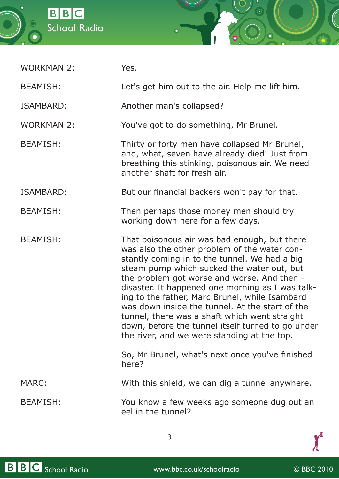



WORKMAN 2: Yes.

BEAMISH: Let's get him out to the air. Help me lift him.

ISAMBARD: Another man's collapsed?

WORKMAN 2: You've got to do something, Mr Brunel.

BEAMISH: Thirty or forty men have collapsed Mr Brunel, and, what, seven have already died! Just from breathing this stinking, poisonous air. We need another shaft for fresh air.

ISAMBARD: But our financial backers won't pay for that.

- BEAMISH: Then perhaps those money men should try working down here for a few days.
- BEAMISH: That poisonous air was bad enough, but there was also the other problem of the water constantly coming in to the tunnel. We had a big steam pump which sucked the water out, but the problem got worse and worse. And then disaster. It happened one morning as I was talking to the father, Marc Brunel, while Isambard was down inside the tunnel. At the start of the tunnel, there was a shaft which went straight down, before the tunnel itself turned to go under the river, and we were standing at the top.

So, Mr Brunel, what's next once you've finished here?

MARC: With this shield, we can dig a tunnel anywhere.

BEAMISH: You know a few weeks ago someone dug out an eel in the tunnel?